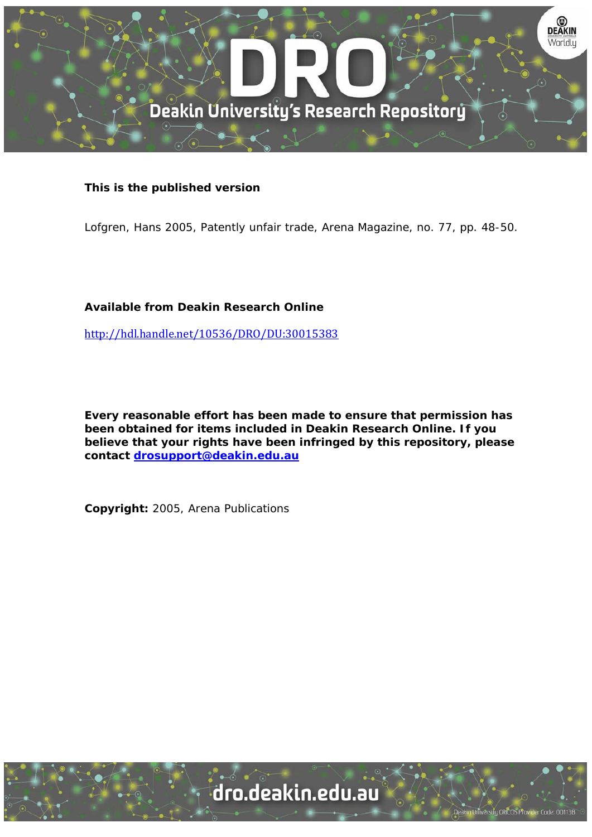

# **This is the published version**

Lofgren, Hans 2005, Patently unfair trade, Arena Magazine, no. 77, pp. 48-50.

# **Available from Deakin Research Online**

http://hdl.handle.net/10536/DRO/DU:30015383

**Every reasonable effort has been made to ensure that permission has been obtained for items included in Deakin Research Online. If you believe that your rights have been infringed by this repository, please contact drosupport@deakin.edu.au** 

**Copyright:** 2005, Arena Publications

University CRICOS Provider Code: 00113B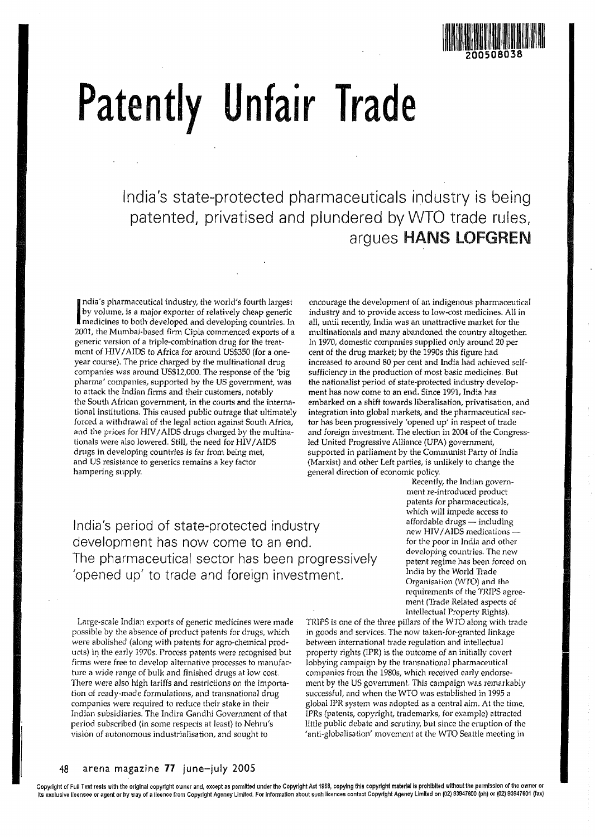

# **Patently Unfair Trade**

India's state-protected pharmaceuticals industry is being patented, privatised and plundered by WTO trade rules, argues HANS LOFGREN

India's pharmaceutical industry, the world's fourth largest<br>by volume, is a major exporter of relatively cheap generic<br>medicines to both developed and developing countries. In<br>2001, the Mumbei beard firm Gial and developin ndia's pharmaceutical industry, the world's fourth largest by volume, is a major exporter of relatively cheap generic 2001, the Mumbaj-based firm Cipla commenced exports of a generic version of a triple-combination drug for the treatment of HIV / AIDS to Africa for around US\$350 (for a oneyear course). The price charged by the multinational drug companies was around US\$12,QOO. The response of the 'big pharma' companies, supported by the US government, was to attack the Indian firms and their customers, notably the South African government, in the courts and the international institutions. *This* caused public outrage that ultimately forced a withdrawal of the legal action against South Africa, and the prices for HIV / AIDS drugs charged by the multinationals were also lowered. Still, the need for HIV / AIDS drugs in developing countries is far from being met, and US resistance to generics remains a key factor hampering supply.

encourage the development of an indigenous pharmaceutical industry and to provide access to low-cost medicines. All in all, until recently, India was an unattractive market for the multinationals and many abandoned the country altogether. In 1970, domestic companies supplied only around 20 per cent of the drug market; by the 19908 this figure had increased to around 80 per cent and India had achieved selfsufficiency in the production of most basic medicines. But the nationalist period of state-protected industry development has now come to an end. Since 1991, India has embarked on a shift towards liberalisation, privatisation, and integration into global markets, and the pharmaceutical sector has been progressively 'opened up' in respect of trade and foreign investment. The election in 2004 of the Congressled United Progressive Alliance (UPA) government, supported in parliament by the Communist Party of India (Marxist) and other Left parties, is unlikely to change the general direction of economic policy.

India's period of state-protected industry development has now come to an end. The pharmaceutical sector has been progressively 'opened up' to trade and foreign investment.

Large-scale Indian exports of generic medicines were made possible by the absence of product patents for drugs, which were abolished (along with patents for agro-chemical products) in the early 19705. Process patents were recognised hut firms were free to develop alternative processes to manufacture a wide range of bulk and finished drugs at low cost. There were also high tariffs and restrictions on the importation of ready-made formulations, and transnational drug companies were required to reduce their stake in their Indian subsidiaries. The Indira Gandhi Government of that period subscribed (in some respects at least) to Nehru's vision of autonomous industrialisation, and sought to

Recently, the Indian government re-introduced product patents for pharmaceuticals, which will impede access to  $affordable$  drugs  $-$  including new HJV / AIDS medications for the poor in India and other developing countries. The new patent regime has been forced on India by the World Trade Organisation (WTO) and the requirements of the TRIPS agreement (Trade Related aspects of Intellectual Property Rights).

TRIPS is one of the three pillars of the WTO along with trade in goods and services. The now taken-far-granted linkage between international trade regulation and intellectual property rights (IPR) is the outcome of an initially covert lobbying campaign by the transnational pharmaceutical companies from the 19805, which received early endorsement by the US government. This campaign was remarkably successful, and when the WTO was established in 1995 a global IPR system was adopted as a central aim. At the time, IPRs (patents, copyright, trademarks, for example) attracted little public debate and scrutiny, but since the eruption of the 'anti-gJobalisation' movement at the WTO Seattle meeting in

## 48 arena magazine 77 june-july 2005

Copyright of Full Text rests with the original copyright *owner* and. except as permitted under the Copyright Act 1968. copying this copyright matenalls prohibited without the permission of the owner or its exclusive licensee or agent or by way of a licence from Copyright Agency Limited. For Information about such licences contact Copyright Agenoy limited on (02) 93947600 [Ph) or (02) 93947601 [fax)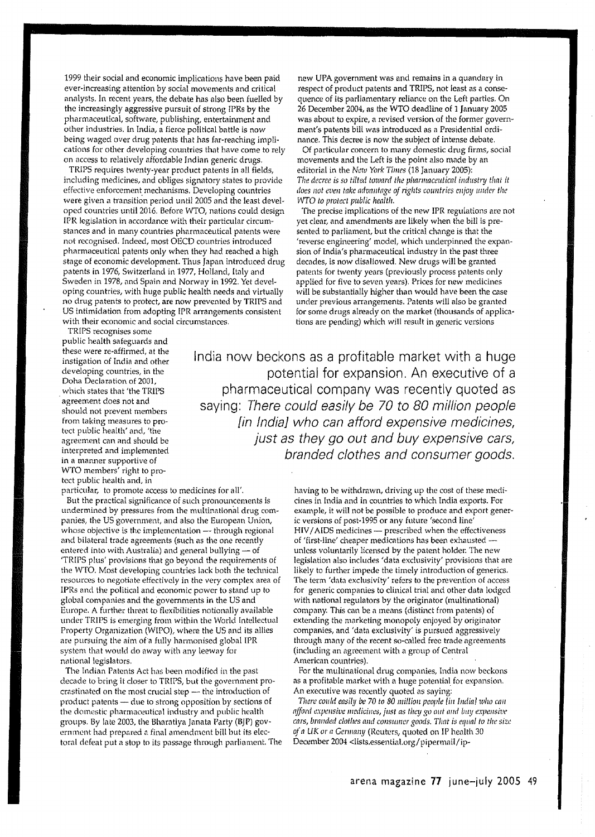1999 their social and economic implications have been paid ever-increasing attention by social movements and critical analysts. In recent years, the debate has also been fuelled by the increasingly aggressive pursuit of strong IPRs by the pharmaceutical, software, publishing, entertainment and other industries. in India, a fierce political battle is now being waged over drug patents that has far-reaching implications for other developing countries that have come to rely on access to relatively affordable Indian generic drugs.

TRIPS requires twenty-year product patents in all fields, including medicines, and obliges signatory states to provide effective enforcement mechanisms. Developing countries were given a transition period until 2005 and the least developed countries until 2016. Before WTO, nations could design IPR legislation in accordance with their particular circumstances and in many countries pharmaceutical patents were not recognised. Indeed, most OECD countries introduced pharmaceutical patents only when they had reached a high stage of economic development. Thus Japan introduced drug patents in 1976, Switzerland in 1977, Holland, Italy and Sweden in 1978, and Spain and Norway in 1992. Yet developing countries, with huge public health needs and virtually no drug patents to protect, are now prevented by TRIPS and US intimidation from adopting IPR arrangements consistent with their economic and social circumstances.

new UPA government was and remains in a quandary in respect of product patents and TRIPS, not least as a consequence of its parliamentary reliance on the Left parties. On 26 December 2004, as the WTO deadline of 1 January 2005 was about to expire, a revised version of the former government's patents bill was introduced as a Presidential ordinance. This decree is now the subject of intense debate.

Of particular concern to many domestic drug firms, social movements and the Left is the point also made by an editorial in the *New York Times* (18 January 2005): The decree is so tilted toward the pharmaceutical industry that it *does not even take advantage of rights countries enjoy under the WTO to protect public hea/tlr.* 

The precise implications of the new IPR regulations are not yet clear, and amendments are likely when the bill is presented to parliament, but the critical change is that the 'reverse engineering' model, which underpinned the expansion of India's pharmaceutical industry in the past three decades, is now disallowed. New drugs will be granted patents for twenty years (previously process patents only applied for five to seven years). Prices for new medicines will be substantially higher than would have been the case under previous arrangements. Patents will also be granted for some drugs already on the market (thousands of applications are pending) which will result in generic versions

TRIPS recognises some public health safeguards and these were re-affirmed, at the instigation of India and other developing countries, in the Doha Declaration of 2001, which states that 'the TRIPS . agreement does not and should not prevent members from taking measures to protect public health' and, 'the agreement can and should be interpreted and implemented in a manner supportive of WTO members' right to protect public health and, in

particular, to promote access to medicines for all'.

But the practical significance of such pronouncements is undermined by pressures from the multinational drug companies, the US government, and also the European Union, whose objective is the implementation  $-$  through regional and bilateral trade agreements (such as the one recently entered into with Australia) and general bullying  $-$  of 'TRIPS plus' provisions that go beyond the requirements of the WTO. Most developing countries lack both the technical resources to negotiate effectively in the *very* complex area of IPRs and the political and economic power to stand up to global companies and the governments in the US and Europe. A further threat to flexibilities notionally available under TRIPS is emerging from within the World Intellectual Property Organization (WIPO), where the US and its allies are pursuing the aim of a fully harmonised global IPR system that would do away with any leeway for national legislators.

The Indian Patents Act has been modified in the past decade to bring it closer to TRIPS, but the government procrastinated on the most crucial step  $-$  the introduction of product patents - due to strong opposition by sections of the domestic pharmaceutical industry and public health groups. By late 2003, the Bharatiya Janata Party (BJP) government had prepared a final amendment bill but its electoral defeat put a stop to its passage through parliament. The

India now beckons as a profitable market with a huge potential for expansion. An executive of a pharmaceutical company was recently quoted as saying: There could easily be 70 to 80 million people [in India] who can afford expensive medicines, just as they go out and buy expensive cars, branded clothes and consumer goods.

> having to be withdrawn, driving up the cost of these medicines in India and in countries to which India exports. For example, it will not be possible to produce and export generic versions of post-1995 or any future 'second line' HIV/AIDS medicines - prescribed when the effectiveness of 'first-line' cheaper medications has been exhausted unless voluntarily licensed by the patent holder. The new legislation also includes 'data exclusivity' provisions that are likely to further impede the timely introduction of generics. The term 'data exclusivity' refers to the prevention of access for generic companies to clinical trial and other data lodged with national regulators by the originator (multinational) company. This can be a means (distinct from patents) of extending the mnrketing monopoly enjoyed by originator companies, and 'data exclusivity' is pursued aggressively through many of the recent so-called free trade agreements (including an agreement with a group of Central American countries).

For the multinational drug companies, India now beckons as a profitable market with a huge potential for expansion. An executive was recently quoted as saying:

*There could easily be 70 to 80 million people [in India] who can a]Jord* expellsive IIIcdicill<:o, *just as tlrey go* Ollt I1lld *buy* expellsive cars, branded clothes and consumer goods. That is equal to the size of a UK or a Germany (Reuters, quoted on IP health 30 December 2004 <lists.essential.org/pipennail/ip-